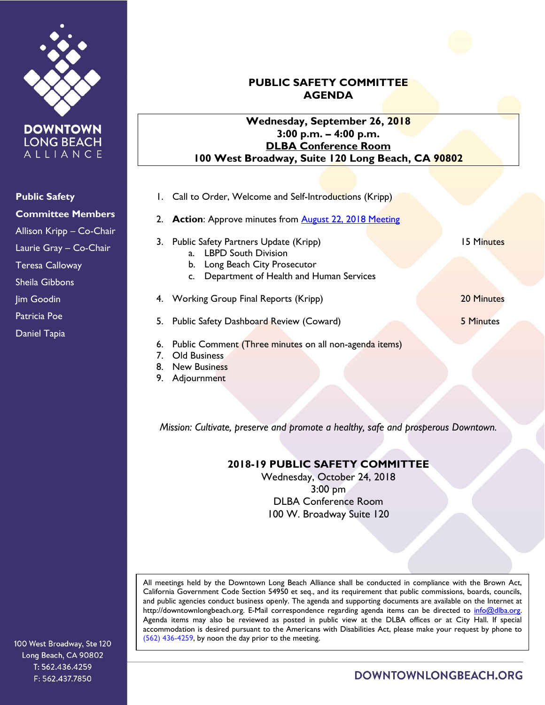

**DOWNTOWN LONG BEACH** ALLIANCE

**Public Safety**

**Committee Members**

Allison Kripp – Co-Chair

Laurie Gray – Co-Chair

Teresa Calloway

Sheila Gibbons

Jim Goodin

Patricia Poe

Daniel Tapia

## **PUBLIC SAFETY COMMITTEE AGENDA**

## **Wednesday, September 26, 2018 3:00 p.m. – 4:00 p.m. DLBA Conference Room 100 West Broadway, Suite 120 Long Beach, CA 90802**

- 1. Call to Order, Welcome and Self-Introductions (Kripp)
- 2. **Action:** Approve minutes from **August 22, 2018 Meeting**
- 3. Public Safety Partners Update (Kripp) 15 Minutes
	- a. LBPD South Division
	- b. Long Beach City Prosecutor
	- c. Department of Health and Human Services
- 4. Working Group Final Reports (Kripp) 20 Minutes

5. Public Safety Dashboard Review (Coward) 5 Minutes

6. Public Comment (Three minutes on all non-agenda items)

- 7. Old Business
- 8. New Business
- 9. Adjournment

*Mission: Cultivate, preserve and promote a healthy, safe and prosperous Downtown.*

## **2018-19 PUBLIC SAFETY COMMITTEE**

Wednesday, October 24, 2018 3:00 pm DLBA Conference Room 100 W. Broadway Suite 120

All meetings held by the Downtown Long Beach Alliance shall be conducted in compliance with the Brown Act, California Government Code Section 54950 et seq., and its requirement that public commissions, boards, councils, and public agencies conduct business openly. The agenda and supporting documents are available on the Internet at http://downtownlongbeach.org. E-Mail correspondence regarding agenda items can be directed to info@dlba.org. Agenda items may also be reviewed as posted in public view at the DLBA offices or at City Hall. If special accommodation is desired pursuant to the Americans with Disabilities Act, please make your request by phone to (562) 436-4259, by noon the day prior to the meeting.

100 West Broadway, Ste 120 Long Beach, CA 90802 T: 562.436.4259 F: 562.437.7850

DOWNTOWNLONGBEACH.ORG